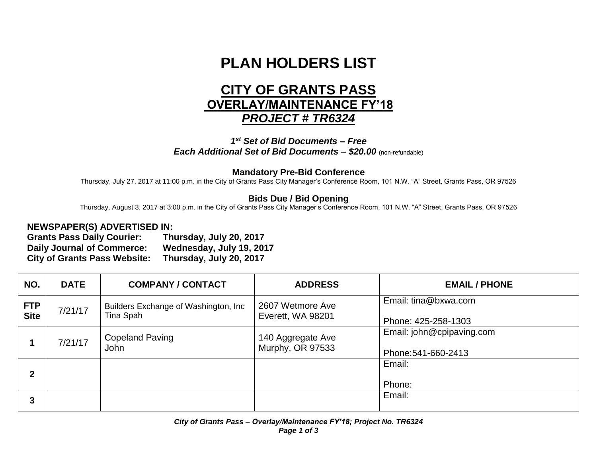# **PLAN HOLDERS LIST**

# **CITY OF GRANTS PASS OVERLAY/MAINTENANCE FY'18** *PROJECT # TR6324*

#### *1 st Set of Bid Documents – Free Each Additional Set of Bid Documents – \$20.00* (non-refundable)

#### **Mandatory Pre-Bid Conference**

Thursday, July 27, 2017 at 11:00 p.m. in the City of Grants Pass City Manager's Conference Room, 101 N.W. "A" Street, Grants Pass, OR 97526

## **Bids Due / Bid Opening**

Thursday, August 3, 2017 at 3:00 p.m. in the City of Grants Pass City Manager's Conference Room, 101 N.W. "A" Street, Grants Pass, OR 97526

### **NEWSPAPER(S) ADVERTISED IN:**

**Grants Pass Daily Courier: Thursday, July 20, 2017 Daily Journal of Commerce: Wednesday, July 19, 2017 City of Grants Pass Website: Thursday, July 20, 2017**

| NO.                       | <b>DATE</b> | <b>COMPANY / CONTACT</b>                           | <b>ADDRESS</b>                        | <b>EMAIL / PHONE</b>                             |
|---------------------------|-------------|----------------------------------------------------|---------------------------------------|--------------------------------------------------|
| <b>FTP</b><br><b>Site</b> | 7/21/17     | Builders Exchange of Washington, Inc.<br>Tina Spah | 2607 Wetmore Ave<br>Everett, WA 98201 | Email: tina@bxwa.com<br>Phone: 425-258-1303      |
|                           | 7/21/17     | <b>Copeland Paving</b><br><b>John</b>              | 140 Aggregate Ave<br>Murphy, OR 97533 | Email: john@cpipaving.com<br>Phone: 541-660-2413 |
| $\mathbf{2}$              |             |                                                    |                                       | Email:<br>Phone:                                 |
| 3                         |             |                                                    |                                       | Email:                                           |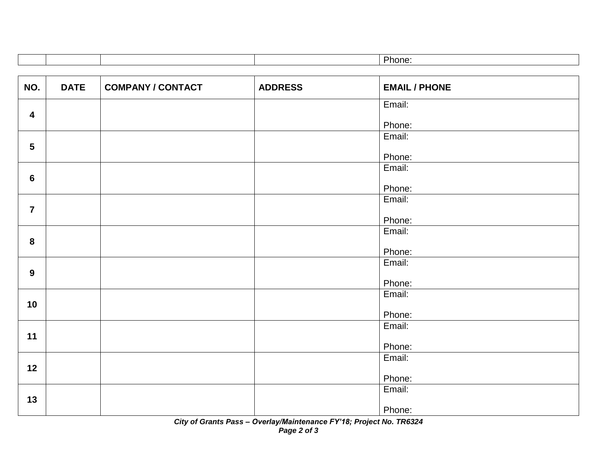|  |  | Phone. |
|--|--|--------|
|  |  |        |

| NO.                     | <b>DATE</b> | <b>COMPANY / CONTACT</b> | <b>ADDRESS</b> | <b>EMAIL / PHONE</b> |
|-------------------------|-------------|--------------------------|----------------|----------------------|
|                         |             |                          |                |                      |
|                         |             |                          |                | Email:               |
| $\overline{\mathbf{4}}$ |             |                          |                |                      |
|                         |             |                          |                | Phone:               |
|                         |             |                          |                | Email:               |
| $5\phantom{.0}$         |             |                          |                |                      |
|                         |             |                          |                | Phone:               |
|                         |             |                          |                | Email:               |
| $6\phantom{1}6$         |             |                          |                |                      |
|                         |             |                          |                | Phone:               |
|                         |             |                          |                | Email:               |
| $\overline{\mathbf{7}}$ |             |                          |                |                      |
|                         |             |                          |                | Phone:               |
|                         |             |                          |                | Email:               |
| 8                       |             |                          |                |                      |
|                         |             |                          |                | Phone:               |
|                         |             |                          |                | Email:               |
| 9                       |             |                          |                |                      |
|                         |             |                          |                | Phone:               |
|                         |             |                          |                | Email:               |
| 10                      |             |                          |                |                      |
|                         |             |                          |                | Phone:               |
|                         |             |                          |                | Email:               |
| 11                      |             |                          |                |                      |
|                         |             |                          |                | Phone:               |
|                         |             |                          |                | Email:               |
| 12                      |             |                          |                |                      |
|                         |             |                          |                | Phone:               |
|                         |             |                          |                | Email:               |
| 13                      |             |                          |                |                      |
|                         |             |                          |                | Phone:               |

*City of Grants Pass – Overlay/Maintenance FY'18; Project No. TR6324 Page 2 of 3*